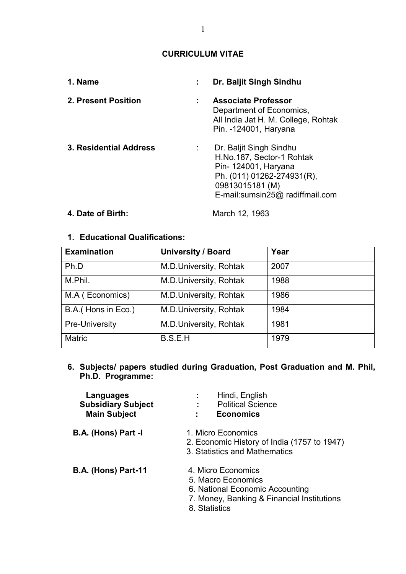## **CURRICULUM VITAE**

| 1. Name                |   | Dr. Baljit Singh Sindhu                                                                                                                                          |
|------------------------|---|------------------------------------------------------------------------------------------------------------------------------------------------------------------|
| 2. Present Position    | ÷ | <b>Associate Professor</b><br>Department of Economics,<br>All India Jat H. M. College, Rohtak<br>Pin. -124001, Haryana                                           |
| 3. Residential Address |   | Dr. Baljit Singh Sindhu<br>H.No.187, Sector-1 Rohtak<br>Pin- 124001, Haryana<br>Ph. (011) 01262-274931(R),<br>09813015181 (M)<br>E-mail:sumsin25@ radiffmail.com |

# **4. Date of Birth:** March 12, 1963

## **1. Educational Qualifications:**

| <b>Examination</b>  | <b>University / Board</b> | Year |
|---------------------|---------------------------|------|
| Ph.D                | M.D.University, Rohtak    | 2007 |
| M.Phil.             | M.D.University, Rohtak    | 1988 |
| M.A (Economics)     | M.D.University, Rohtak    | 1986 |
| B.A. (Hons in Eco.) | M.D.University, Rohtak    | 1984 |
| Pre-University      | M.D.University, Rohtak    | 1981 |
| <b>Matric</b>       | B.S.E.H                   | 1979 |

**6. Subjects/ papers studied during Graduation, Post Graduation and M. Phil, Ph.D. Programme:** 

| Languages<br><b>Subsidiary Subject</b><br><b>Main Subject</b> | Hindi, English<br>÷<br><b>Political Science</b><br><b>Economics</b>                                                                        |
|---------------------------------------------------------------|--------------------------------------------------------------------------------------------------------------------------------------------|
| B.A. (Hons) Part -I                                           | 1. Micro Economics<br>2. Economic History of India (1757 to 1947)<br>3. Statistics and Mathematics                                         |
| <b>B.A. (Hons) Part-11</b>                                    | 4. Micro Economics<br>5. Macro Economics<br>6. National Economic Accounting<br>7. Money, Banking & Financial Institutions<br>8. Statistics |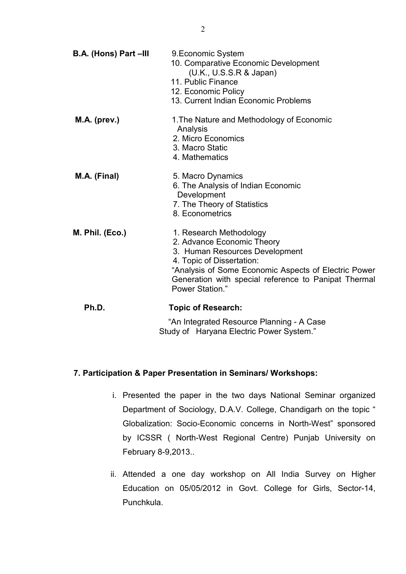| B.A. (Hons) Part -III | 9. Economic System<br>10. Comparative Economic Development<br>(U.K., U.S.S.R & Japan)<br>11. Public Finance<br>12. Economic Policy<br>13. Current Indian Economic Problems                                                                              |
|-----------------------|---------------------------------------------------------------------------------------------------------------------------------------------------------------------------------------------------------------------------------------------------------|
| M.A. (prev.)          | 1. The Nature and Methodology of Economic<br>Analysis<br>2. Micro Economics<br>3. Macro Static<br>4. Mathematics                                                                                                                                        |
| M.A. (Final)          | 5. Macro Dynamics<br>6. The Analysis of Indian Economic<br>Development<br>7. The Theory of Statistics<br>8. Econometrics                                                                                                                                |
| M. Phil. (Eco.)       | 1. Research Methodology<br>2. Advance Economic Theory<br>3. Human Resources Development<br>4. Topic of Dissertation:<br>"Analysis of Some Economic Aspects of Electric Power<br>Generation with special reference to Panipat Thermal<br>Power Station." |
| Ph.D.                 | <b>Topic of Research:</b><br>"An Integrated Resource Planning - A Case<br>Study of Haryana Electric Power System."                                                                                                                                      |

## **7. Participation & Paper Presentation in Seminars/ Workshops:**

- i. Presented the paper in the two days National Seminar organized Department of Sociology, D.A.V. College, Chandigarh on the topic " Globalization: Socio-Economic concerns in North-West" sponsored by ICSSR ( North-West Regional Centre) Punjab University on February 8-9,2013..
- ii. Attended a one day workshop on All India Survey on Higher Education on 05/05/2012 in Govt. College for Girls, Sector-14, Punchkula.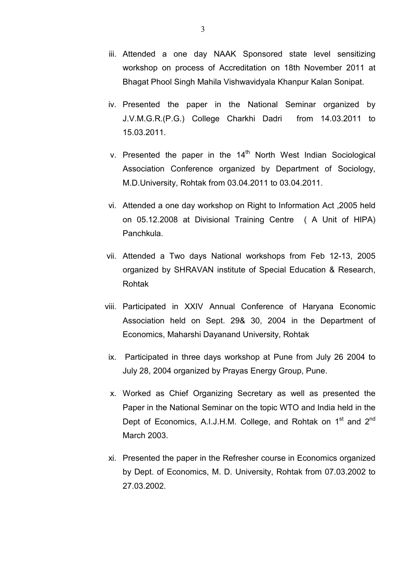- iii. Attended a one day NAAK Sponsored state level sensitizing workshop on process of Accreditation on 18th November 2011 at Bhagat Phool Singh Mahila Vishwavidyala Khanpur Kalan Sonipat.
- iv. Presented the paper in the National Seminar organized by J.V.M.G.R.(P.G.) College Charkhi Dadri from 14.03.2011 to 15.03.2011.
- v. Presented the paper in the  $14<sup>th</sup>$  North West Indian Sociological Association Conference organized by Department of Sociology, M.D.University, Rohtak from 03.04.2011 to 03.04.2011.
- vi. Attended a one day workshop on Right to Information Act ,2005 held on 05.12.2008 at Divisional Training Centre ( A Unit of HIPA) Panchkula.
- vii. Attended a Two days National workshops from Feb 12-13, 2005 organized by SHRAVAN institute of Special Education & Research, Rohtak
- viii. Participated in XXIV Annual Conference of Haryana Economic Association held on Sept. 29& 30, 2004 in the Department of Economics, Maharshi Dayanand University, Rohtak
- ix. Participated in three days workshop at Pune from July 26 2004 to July 28, 2004 organized by Prayas Energy Group, Pune.
- x. Worked as Chief Organizing Secretary as well as presented the Paper in the National Seminar on the topic WTO and India held in the Dept of Economics, A.I.J.H.M. College, and Rohtak on 1<sup>st</sup> and 2<sup>nd</sup> March 2003.
- xi. Presented the paper in the Refresher course in Economics organized by Dept. of Economics, M. D. University, Rohtak from 07.03.2002 to 27.03.2002.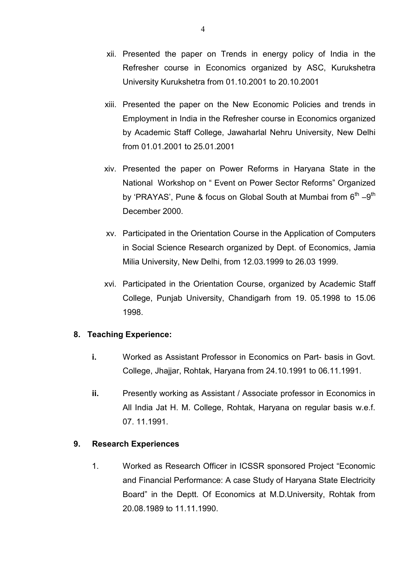- xii. Presented the paper on Trends in energy policy of India in the Refresher course in Economics organized by ASC, Kurukshetra University Kurukshetra from 01.10.2001 to 20.10.2001
- xiii. Presented the paper on the New Economic Policies and trends in Employment in India in the Refresher course in Economics organized by Academic Staff College, Jawaharlal Nehru University, New Delhi from 01.01.2001 to 25.01.2001
- xiv. Presented the paper on Power Reforms in Haryana State in the National Workshop on " Event on Power Sector Reforms" Organized by 'PRAYAS', Pune & focus on Global South at Mumbai from  $6<sup>th</sup> -9<sup>th</sup>$ December 2000.
- xv. Participated in the Orientation Course in the Application of Computers in Social Science Research organized by Dept. of Economics, Jamia Milia University, New Delhi, from 12.03.1999 to 26.03 1999.
- xvi. Participated in the Orientation Course, organized by Academic Staff College, Punjab University, Chandigarh from 19. 05.1998 to 15.06 1998.

## **8. Teaching Experience:**

- **i.** Worked as Assistant Professor in Economics on Part- basis in Govt. College, Jhajjar, Rohtak, Haryana from 24.10.1991 to 06.11.1991.
- **ii.** Presently working as Assistant / Associate professor in Economics in All India Jat H. M. College, Rohtak, Haryana on regular basis w.e.f. 07. 11.1991.

## **9. Research Experiences**

1. Worked as Research Officer in ICSSR sponsored Project "Economic and Financial Performance: A case Study of Haryana State Electricity Board" in the Deptt. Of Economics at M.D.University, Rohtak from 20.08.1989 to 11.11.1990.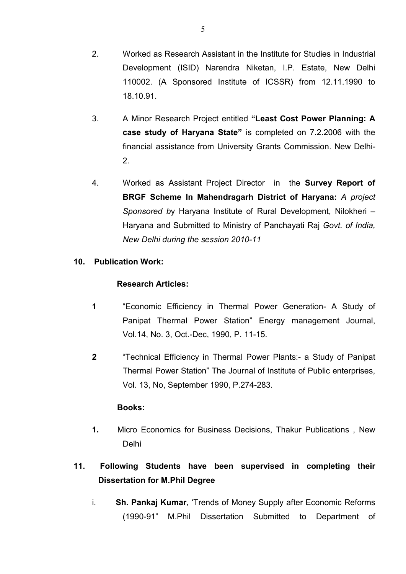- 2. Worked as Research Assistant in the Institute for Studies in Industrial Development (ISID) Narendra Niketan, I.P. Estate, New Delhi 110002. (A Sponsored Institute of ICSSR) from 12.11.1990 to 18.10.91.
- 3. A Minor Research Project entitled **"Least Cost Power Planning: A case study of Haryana State"** is completed on 7.2.2006 with the financial assistance from University Grants Commission. New Delhi-2.
- 4. Worked as Assistant Project Director in the **Survey Report of BRGF Scheme In Mahendragarh District of Haryana:** *A project Sponsored b*y Haryana Institute of Rural Development, Nilokheri – Haryana and Submitted to Ministry of Panchayati Raj *Govt. of India, New Delhi during the session 2010-11*

## **10. Publication Work:**

## **Research Articles:**

- **1** "Economic Efficiency in Thermal Power Generation- A Study of Panipat Thermal Power Station" Energy management Journal, Vol.14, No. 3, Oct.-Dec, 1990, P. 11-15.
- **2** "Technical Efficiency in Thermal Power Plants:- a Study of Panipat Thermal Power Station" The Journal of Institute of Public enterprises, Vol. 13, No, September 1990, P.274-283.

## **Books:**

**1.** Micro Economics for Business Decisions, Thakur Publications , New Delhi

# **11. Following Students have been supervised in completing their Dissertation for M.Phil Degree**

i. **Sh. Pankaj Kumar**, 'Trends of Money Supply after Economic Reforms (1990-91" M.Phil Dissertation Submitted to Department of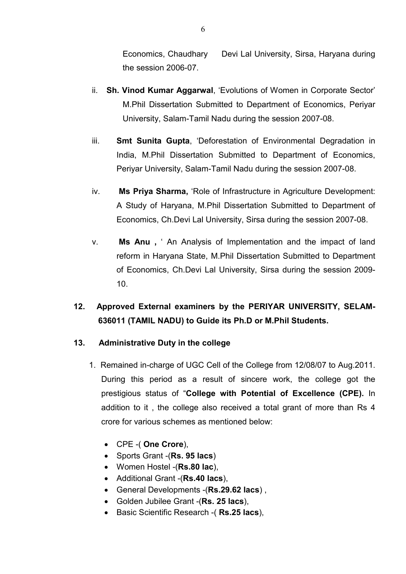Economics, Chaudhary Devi Lal University, Sirsa, Haryana during the session 2006-07.

- ii. **Sh. Vinod Kumar Aggarwal**, 'Evolutions of Women in Corporate Sector' M.Phil Dissertation Submitted to Department of Economics, Periyar University, Salam-Tamil Nadu during the session 2007-08.
- iii. **Smt Sunita Gupta**, 'Deforestation of Environmental Degradation in India, M.Phil Dissertation Submitted to Department of Economics, Periyar University, Salam-Tamil Nadu during the session 2007-08.
- iv. **Ms Priya Sharma,** 'Role of Infrastructure in Agriculture Development: A Study of Haryana, M.Phil Dissertation Submitted to Department of Economics, Ch.Devi Lal University, Sirsa during the session 2007-08.
- v. **Ms Anu ,** ' An Analysis of Implementation and the impact of land reform in Haryana State, M.Phil Dissertation Submitted to Department of Economics, Ch.Devi Lal University, Sirsa during the session 2009- 10.

# **12. Approved External examiners by the PERIYAR UNIVERSITY, SELAM-636011 (TAMIL NADU) to Guide its Ph.D or M.Phil Students.**

## **13. Administrative Duty in the college**

- 1. Remained in-charge of UGC Cell of the College from 12/08/07 to Aug.2011. During this period as a result of sincere work, the college got the prestigious status of "**College with Potential of Excellence (CPE).** In addition to it , the college also received a total grant of more than Rs 4 crore for various schemes as mentioned below:
	- CPE -( **One Crore**),
	- Sports Grant -(**Rs. 95 lacs**)
	- Women Hostel -(**Rs.80 lac**),
	- Additional Grant -(**Rs.40 lacs**),
	- General Developments -(**Rs.29.62 lacs**) ,
	- Golden Jubilee Grant -(**Rs. 25 lacs**),
	- Basic Scientific Research -( **Rs.25 lacs**),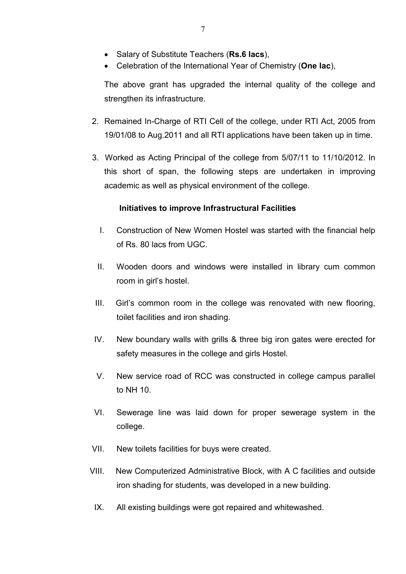- Salary of Substitute Teachers (**Rs.6 lacs**),
- Celebration of the International Year of Chemistry (**One lac**),

 The above grant has upgraded the internal quality of the college and strengthen its infrastructure.

- 2. Remained In-Charge of RTI Cell of the college, under RTI Act, 2005 from 19/01/08 to Aug.2011 and all RTI applications have been taken up in time.
- 3. Worked as Acting Principal of the college from 5/07/11 to 11/10/2012. In this short of span, the following steps are undertaken in improving academic as well as physical environment of the college.

### **Initiatives to improve Infrastructural Facilities**

- I. Construction of New Women Hostel was started with the financial help of Rs. 80 lacs from UGC.
- II. Wooden doors and windows were installed in library cum common room in girl's hostel.
- III. Girl's common room in the college was renovated with new flooring, toilet facilities and iron shading.
- IV. New boundary walls with grills & three big iron gates were erected for safety measures in the college and girls Hostel.
- V. New service road of RCC was constructed in college campus parallel to NH 10.
- VI. Sewerage line was laid down for proper sewerage system in the college.
- VII. New toilets facilities for buys were created.
- VIII. New Computerized Administrative Block, with A C facilities and outside iron shading for students, was developed in a new building.
- IX. All existing buildings were got repaired and whitewashed.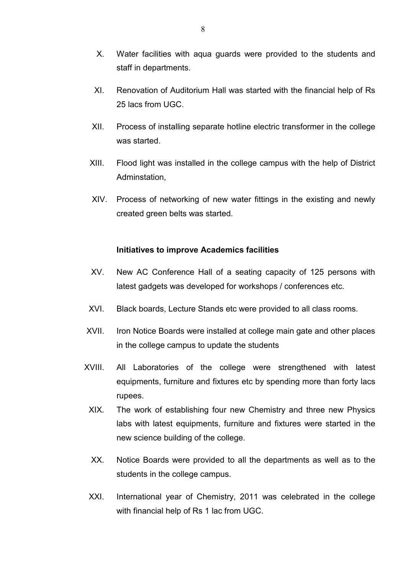- X. Water facilities with aqua guards were provided to the students and staff in departments.
- XI. Renovation of Auditorium Hall was started with the financial help of Rs 25 lacs from UGC.
- XII. Process of installing separate hotline electric transformer in the college was started
- XIII. Flood light was installed in the college campus with the help of District Adminstation,
- XIV. Process of networking of new water fittings in the existing and newly created green belts was started.

#### **Initiatives to improve Academics facilities**

- XV. New AC Conference Hall of a seating capacity of 125 persons with latest gadgets was developed for workshops / conferences etc.
- XVI. Black boards, Lecture Stands etc were provided to all class rooms.
- XVII. Iron Notice Boards were installed at college main gate and other places in the college campus to update the students
- XVIII. All Laboratories of the college were strengthened with latest equipments, furniture and fixtures etc by spending more than forty lacs rupees.
- XIX. The work of establishing four new Chemistry and three new Physics labs with latest equipments, furniture and fixtures were started in the new science building of the college.
- XX. Notice Boards were provided to all the departments as well as to the students in the college campus.
- XXI. International year of Chemistry, 2011 was celebrated in the college with financial help of Rs 1 lac from UGC.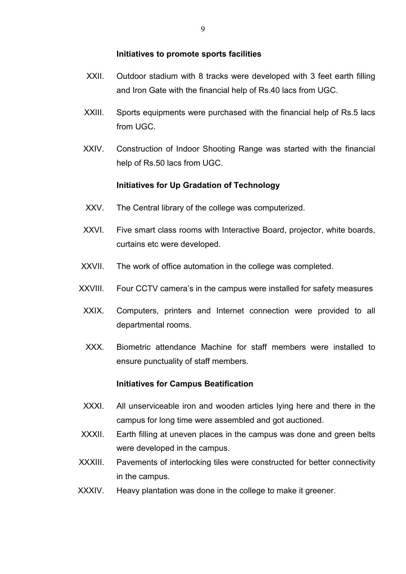#### **Initiatives to promote sports facilities**

- XXII. Outdoor stadium with 8 tracks were developed with 3 feet earth filling and Iron Gate with the financial help of Rs.40 lacs from UGC.
- XXIII. Sports equipments were purchased with the financial help of Rs.5 lacs from UGC.
- XXIV. Construction of Indoor Shooting Range was started with the financial help of Rs.50 lacs from UGC.

### **Initiatives for Up Gradation of Technology**

- XXV. The Central library of the college was computerized.
- XXVI. Five smart class rooms with Interactive Board, projector, white boards, curtains etc were developed.
- XXVII. The work of office automation in the college was completed.
- XXVIII. Four CCTV camera's in the campus were installed for safety measures
- XXIX. Computers, printers and Internet connection were provided to all departmental rooms.
- XXX. Biometric attendance Machine for staff members were installed to ensure punctuality of staff members.

### **Initiatives for Campus Beatification**

- XXXI. All unserviceable iron and wooden articles lying here and there in the campus for long time were assembled and got auctioned.
- XXXII. Earth filling at uneven places in the campus was done and green belts were developed in the campus.
- XXXIII. Pavements of interlocking tiles were constructed for better connectivity in the campus.
- XXXIV. Heavy plantation was done in the college to make it greener.